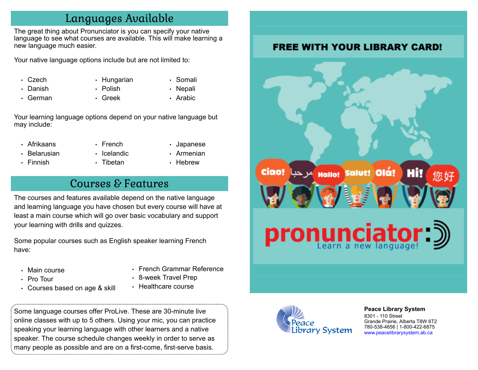### Languages Available

The great thing about Pronunciator is you can specify your native language to see what courses are available. This will make learning a new language much easier.

Your native language options include but are not limited to:

- Czech
- Danish
- German
- Hungarian
- Polish • Greek
- Somali
- Nepali
- Arabic

Your learning language options depend on your native language but may include:

- Afrikaans
- Belarusian
- Finnish
- French
- Icelandic
- Tibetan
- Japanese
- Armenian
- Hebrew

## Courses & Features

The courses and features available depend on the native language and learning language you have chosen but every course will have at least a main course which will go over basic vocabulary and support your learning with drills and quizzes.

Some popular courses such as English speaker learning French have:

- Main course
- Pro Tour
- Courses based on age & skill
- French Grammar Reference
- 8-week Travel Prep
- Healthcare course

Some language courses offer ProLive. These are 30-minute live online classes with up to 5 others. Using your mic, you can practice speaking your learning language with other learners and a native speaker. The course schedule changes weekly in order to serve as many people as possible and are on a first-come, first-serve basis.



**[P](http://4la.co/1KCGNY)eace Library System** [8](http://4la.co/1KCGNY)301 - 110 Street Grande Prairie, Alberta T8W 6T2 780-538-4656 | 1-800-422-6875 [www.peacelibrarysystem.ab.ca](http://4la.co/1KCGNY)